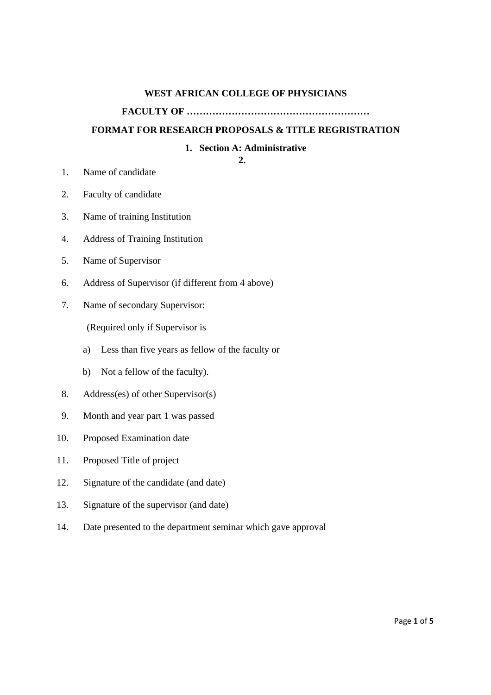#### **WEST AFRICAN COLLEGE OF PHYSICIANS**

## **FACULTY OF …………………………………………………**

#### **FORMAT FOR RESEARCH PROPOSALS & TITLE REGRISTRATION**

#### **1. Section A: Administrative**

#### **2.**

- 1. Name of candidate
- 2. Faculty of candidate
- 3. Name of training Institution
- 4. Address of Training Institution
- 5. Name of Supervisor
- 6. Address of Supervisor (if different from 4 above)
- 7. Name of secondary Supervisor:

(Required only if Supervisor is

- a) Less than five years as fellow of the faculty or
- b) Not a fellow of the faculty).
- 8. Address(es) of other Supervisor(s)
- 9. Month and year part 1 was passed
- 10. Proposed Examination date
- 11. Proposed Title of project
- 12. Signature of the candidate (and date)
- 13. Signature of the supervisor (and date)
- 14. Date presented to the department seminar which gave approval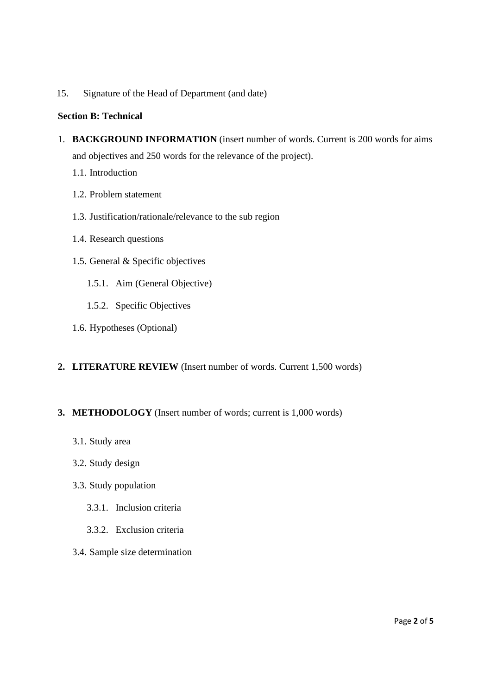15. Signature of the Head of Department (and date)

### **Section B: Technical**

- 1. **BACKGROUND INFORMATION** (insert number of words. Current is 200 words for aims and objectives and 250 words for the relevance of the project).
	- 1.1. Introduction
	- 1.2. Problem statement
	- 1.3. Justification/rationale/relevance to the sub region
	- 1.4. Research questions
	- 1.5. General & Specific objectives
		- 1.5.1. Aim (General Objective)
		- 1.5.2. Specific Objectives
	- 1.6. Hypotheses (Optional)

### **2. LITERATURE REVIEW** (Insert number of words. Current 1,500 words)

### **3. METHODOLOGY** (Insert number of words; current is 1,000 words)

- 3.1. Study area
- 3.2. Study design
- 3.3. Study population
	- 3.3.1. Inclusion criteria
	- 3.3.2. Exclusion criteria
- 3.4. Sample size determination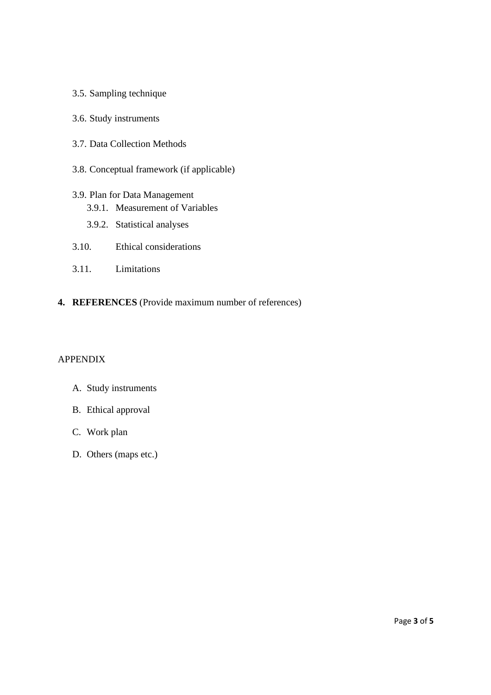- 3.5. Sampling technique
- 3.6. Study instruments
- 3.7. Data Collection Methods
- 3.8. Conceptual framework (if applicable)
- 3.9. Plan for Data Management
	- 3.9.1. Measurement of Variables
	- 3.9.2. Statistical analyses
- 3.10. Ethical considerations
- 3.11. Limitations
- **4. REFERENCES** (Provide maximum number of references)

## APPENDIX

- A. Study instruments
- B. Ethical approval
- C. Work plan
- D. Others (maps etc.)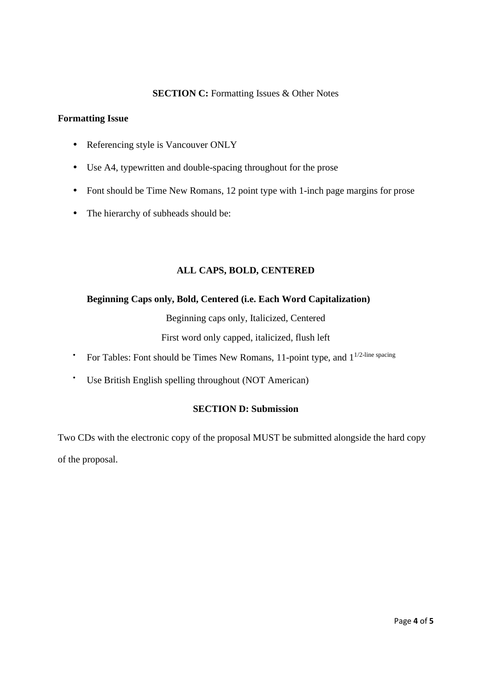## **SECTION C:** Formatting Issues & Other Notes

### **Formatting Issue**

- Referencing style is Vancouver ONLY
- Use A4, typewritten and double-spacing throughout for the prose
- Font should be Time New Romans, 12 point type with 1-inch page margins for prose
- The hierarchy of subheads should be:

## **ALL CAPS, BOLD, CENTERED**

## **Beginning Caps only, Bold, Centered (i.e. Each Word Capitalization)**

Beginning caps only, Italicized, Centered

First word only capped, italicized, flush left

- For Tables: Font should be Times New Romans, 11-point type, and  $1^{1/2$ -line spacing
- Use British English spelling throughout (NOT American)

## **SECTION D: Submission**

Two CDs with the electronic copy of the proposal MUST be submitted alongside the hard copy of the proposal.